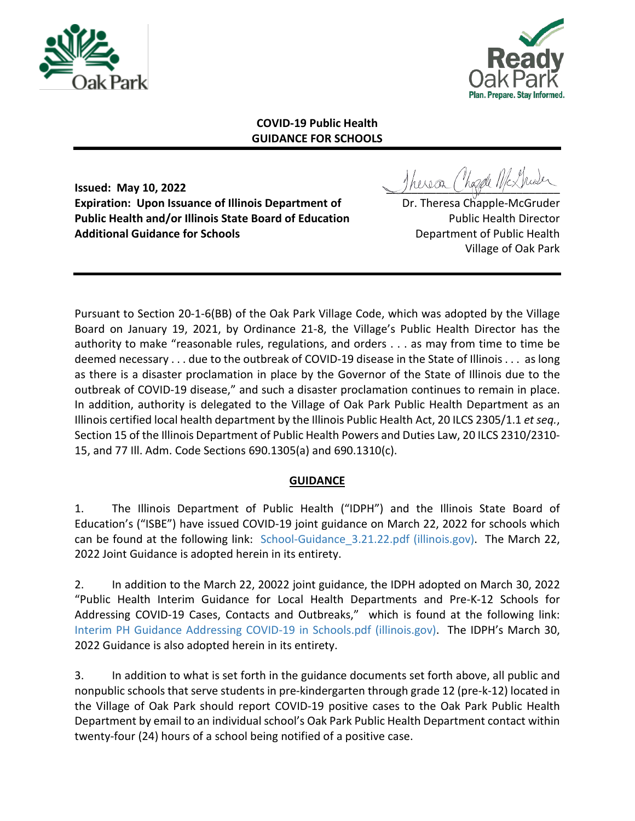



## **COVID-19 Public Health GUIDANCE FOR SCHOOLS**

**Expiration: Upon Issuance of Illinois Department of The Constant Dr. Theresa Chapple-McGruder Public Health and/or Illinois State Board of Education** Public Health Director **Additional Guidance for Schools Department of Public Health** 

**Issued: May 10, 2022 Issued: May 10, 2022** 

Village of Oak Park

Pursuant to Section 20-1-6(BB) of the Oak Park Village Code, which was adopted by the Village Board on January 19, 2021, by Ordinance 21-8, the Village's Public Health Director has the authority to make "reasonable rules, regulations, and orders . . . as may from time to time be deemed necessary . . . due to the outbreak of COVID-19 disease in the State of Illinois . . . as long as there is a disaster proclamation in place by the Governor of the State of Illinois due to the outbreak of COVID-19 disease," and such a disaster proclamation continues to remain in place. In addition, authority is delegated to the Village of Oak Park Public Health Department as an Illinois certified local health department by the Illinois Public Health Act, 20 ILCS 2305/1.1 *et seq.*, Section 15 of the Illinois Department of Public Health Powers and Duties Law, 20 ILCS 2310/2310- 15, and 77 Ill. Adm. Code Sections 690.1305(a) and 690.1310(c).

## **GUIDANCE**

1. The Illinois Department of Public Health ("IDPH") and the Illinois State Board of Education's ("ISBE") have issued COVID-19 joint guidance on March 22, 2022 for schools which can be found at the following link: School-Guidance 3.21.22.pdf (illinois.gov). The March 22, 2022 Joint Guidance is adopted herein in its entirety.

2. In addition to the March 22, 20022 joint guidance, the IDPH adopted on March 30, 2022 "Public Health Interim Guidance for Local Health Departments and Pre-K-12 Schools for Addressing COVID-19 Cases, Contacts and Outbreaks," which is found at the following link: [Interim PH Guidance Addressing COVID-19 in Schools.pdf \(illinois.gov\).](https://dph.illinois.gov/content/dam/soi/en/web/idph/covid19/guidance/school/Interim%20PH%20Guidance%20Addressing%20COVID-19%20in%20Schools.pdf) The IDPH's March 30, 2022 Guidance is also adopted herein in its entirety.

3. In addition to what is set forth in the guidance documents set forth above, all public and nonpublic schools that serve students in pre-kindergarten through grade 12 (pre-k-12) located in the Village of Oak Park should report COVID-19 positive cases to the Oak Park Public Health Department by email to an individual school's Oak Park Public Health Department contact within twenty-four (24) hours of a school being notified of a positive case.